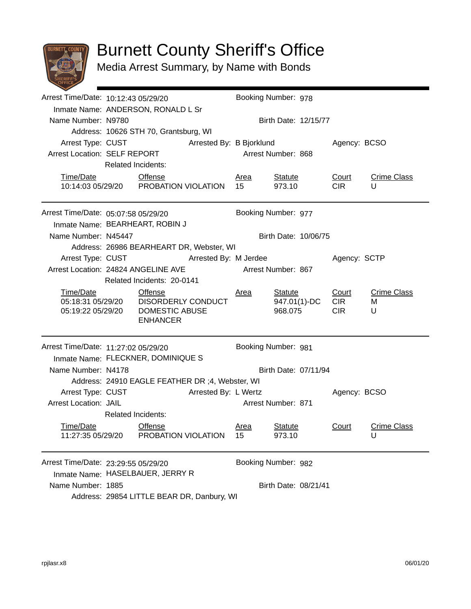

## Burnett County Sheriff's Office

Media Arrest Summary, by Name with Bonds

|                                     | Arrest Time/Date: 10:12:43 05/29/20                        |                                                                                                       |                          | Booking Number: 978  |                                           |                                   |                              |  |  |
|-------------------------------------|------------------------------------------------------------|-------------------------------------------------------------------------------------------------------|--------------------------|----------------------|-------------------------------------------|-----------------------------------|------------------------------|--|--|
|                                     | Inmate Name: ANDERSON, RONALD L Sr                         |                                                                                                       |                          |                      |                                           |                                   |                              |  |  |
| Name Number: N9780                  |                                                            |                                                                                                       |                          | Birth Date: 12/15/77 |                                           |                                   |                              |  |  |
|                                     |                                                            | Address: 10626 STH 70, Grantsburg, WI                                                                 |                          |                      |                                           |                                   |                              |  |  |
| Arrest Type: CUST                   |                                                            |                                                                                                       | Arrested By: B Bjorklund |                      | Agency: BCSO                              |                                   |                              |  |  |
|                                     | Arrest Location: SELF REPORT                               |                                                                                                       |                          |                      | Arrest Number: 868                        |                                   |                              |  |  |
|                                     | <b>Related Incidents:</b>                                  |                                                                                                       |                          |                      |                                           |                                   |                              |  |  |
| Time/Date                           |                                                            | Offense                                                                                               |                          | Area                 | <b>Statute</b>                            | Court                             | <b>Crime Class</b>           |  |  |
|                                     |                                                            | 10:14:03 05/29/20  PROBATION VIOLATION                                                                |                          | 15                   | 973.10                                    | <b>CIR</b>                        | U                            |  |  |
| Arrest Time/Date: 05:07:58 05/29/20 |                                                            |                                                                                                       |                          | Booking Number: 977  |                                           |                                   |                              |  |  |
|                                     | Inmate Name: BEARHEART, ROBIN J                            |                                                                                                       |                          |                      |                                           |                                   |                              |  |  |
| Name Number: N45447                 |                                                            |                                                                                                       |                          | Birth Date: 10/06/75 |                                           |                                   |                              |  |  |
|                                     | Address: 26986 BEARHEART DR, Webster, WI                   |                                                                                                       |                          |                      |                                           |                                   |                              |  |  |
| Arrest Type: CUST                   | Arrested By: M Jerdee                                      |                                                                                                       |                          |                      |                                           | Agency: SCTP                      |                              |  |  |
|                                     | Arrest Location: 24824 ANGELINE AVE<br>Arrest Number: 867  |                                                                                                       |                          |                      |                                           |                                   |                              |  |  |
| Related Incidents: 20-0141          |                                                            |                                                                                                       |                          |                      |                                           |                                   |                              |  |  |
| Time/Date<br>05:19:22 05/29/20      |                                                            | <b>Offense</b><br>05:18:31 05/29/20    DISORDERLY CONDUCT<br><b>DOMESTIC ABUSE</b><br><b>ENHANCER</b> |                          | <u>Area</u>          | <b>Statute</b><br>947.01(1)-DC<br>968.075 | Court<br><b>CIR</b><br><b>CIR</b> | <b>Crime Class</b><br>м<br>U |  |  |
|                                     | Arrest Time/Date: 11:27:02 05/29/20<br>Booking Number: 981 |                                                                                                       |                          |                      |                                           |                                   |                              |  |  |
|                                     | Inmate Name: FLECKNER, DOMINIQUE S                         |                                                                                                       |                          |                      |                                           |                                   |                              |  |  |
| Name Number: N4178                  | Birth Date: 07/11/94                                       |                                                                                                       |                          |                      |                                           |                                   |                              |  |  |
|                                     | Address: 24910 EAGLE FEATHER DR ;4, Webster, WI            |                                                                                                       |                          |                      |                                           |                                   |                              |  |  |
|                                     | Arrest Type: CUST<br>Arrested By: L Wertz                  |                                                                                                       | Arrest Number: 871       |                      | Agency: BCSO                              |                                   |                              |  |  |
| <b>Arrest Location: JAIL</b>        |                                                            |                                                                                                       |                          |                      |                                           |                                   |                              |  |  |
|                                     |                                                            | <b>Related Incidents:</b>                                                                             |                          |                      |                                           |                                   |                              |  |  |
| Time/Date<br>11:27:35 05/29/20      |                                                            | Offense<br>PROBATION VIOLATION                                                                        |                          | Area<br>15           | <b>Statute</b><br>973.10                  | Court                             | <b>Crime Class</b>           |  |  |
|                                     |                                                            |                                                                                                       |                          |                      |                                           |                                   | U                            |  |  |
| Arrest Time/Date: 23:29:55 05/29/20 |                                                            |                                                                                                       |                          |                      | Booking Number: 982                       |                                   |                              |  |  |
|                                     | Inmate Name: HASELBAUER, JERRY R                           |                                                                                                       |                          |                      |                                           |                                   |                              |  |  |
| Name Number: 1885                   | Birth Date: 08/21/41                                       |                                                                                                       |                          |                      |                                           |                                   |                              |  |  |
|                                     | Address: 29854 LITTLE BEAR DR, Danbury, WI                 |                                                                                                       |                          |                      |                                           |                                   |                              |  |  |